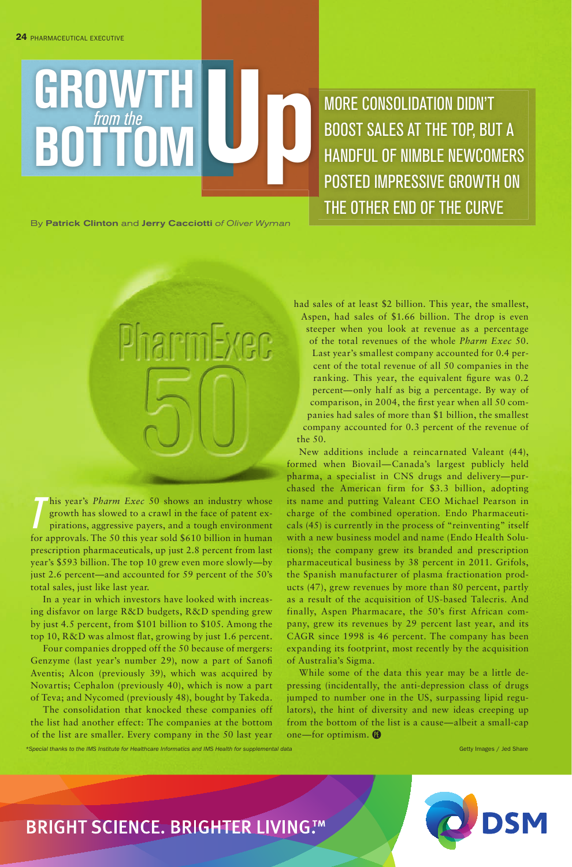# **GROWTH**  *from the* **GROWTH UD**

MORE CONSOLIDATION DIDN'T BOOST SALES AT THE TOP, BUT A HANDFUL OF NIMBLE NEWCOMERS POSTED IMPRESSIVE GROWTH ON THE OTHER END OF THE CURVE

By Patrick Clinton and Jerry Cacciotti *of Oliver Wyman*

PharmExec

This year's *Pharm Exec* 50 shows an industry whose growth has slowed to a crawl in the face of patent expirations, aggressive payers, and a tough environment for approvals. The 50 this year sold \$610 billion in human his year's *Pharm Exec* 50 shows an industry whose growth has slowed to a crawl in the face of patent expirations, aggressive payers, and a tough environment prescription pharmaceuticals, up just 2.8 percent from last year's \$593 billion. The top 10 grew even more slowly—by just 2.6 percent—and accounted for 59 percent of the 50's total sales, just like last year.

In a year in which investors have looked with increasing disfavor on large R&D budgets, R&D spending grew by just 4.5 percent, from \$101 billion to \$105. Among the top 10,  $R&D$  was almost flat, growing by just 1.6 percent.

Four companies dropped off the 50 because of mergers: Genzyme (last year's number 29), now a part of Sano Aventis; Alcon (previously 39), which was acquired by Novartis; Cephalon (previously 40), which is now a part of Teva; and Nycomed (previously 48), bought by Takeda.

The consolidation that knocked these companies off the list had another effect: The companies at the bottom of the list are smaller. Every company in the 50 last year

had sales of at least \$2 billion. This year, the smallest, Aspen, had sales of \$1.66 billion. The drop is even steeper when you look at revenue as a percentage of the total revenues of the whole *Pharm Exec* 50. Last year's smallest company accounted for 0.4 percent of the total revenue of all 50 companies in the ranking. This year, the equivalent figure was 0.2 percent—only half as big a percentage. By way of comparison, in 2004, the first year when all 50 companies had sales of more than \$1 billion, the smallest company accounted for 0.3 percent of the revenue of the 50.

New additions include a reincarnated Valeant (44), formed when Biovail—Canada's largest publicly held pharma, a specialist in CNS drugs and delivery—purchased the American firm for \$3.3 billion, adopting its name and putting Valeant CEO Michael Pearson in charge of the combined operation. Endo Pharmaceuticals (45) is currently in the process of "reinventing" itself with a new business model and name (Endo Health Solutions); the company grew its branded and prescription pharmaceutical business by 38 percent in 2011. Grifols, the Spanish manufacturer of plasma fractionation products (47), grew revenues by more than 80 percent, partly as a result of the acquisition of US-based Talecris. And finally, Aspen Pharmacare, the 50's first African company, grew its revenues by 29 percent last year, and its CAGR since 1998 is 46 percent. The company has been expanding its footprint, most recently by the acquisition of Australia's Sigma.

While some of the data this year may be a little depressing (incidentally, the anti-depression class of drugs jumped to number one in the US, surpassing lipid regulators), the hint of diversity and new ideas creeping up from the bottom of the list is a cause—albeit a small-cap one—for optimism.

*\*Special thanks to the IMS Institute for Healthcare Informatics and IMS Health for supplemental data* Getty Images / Jed Share



## **BRIGHT SCIENCE. BRIGHTER LIVING.TM**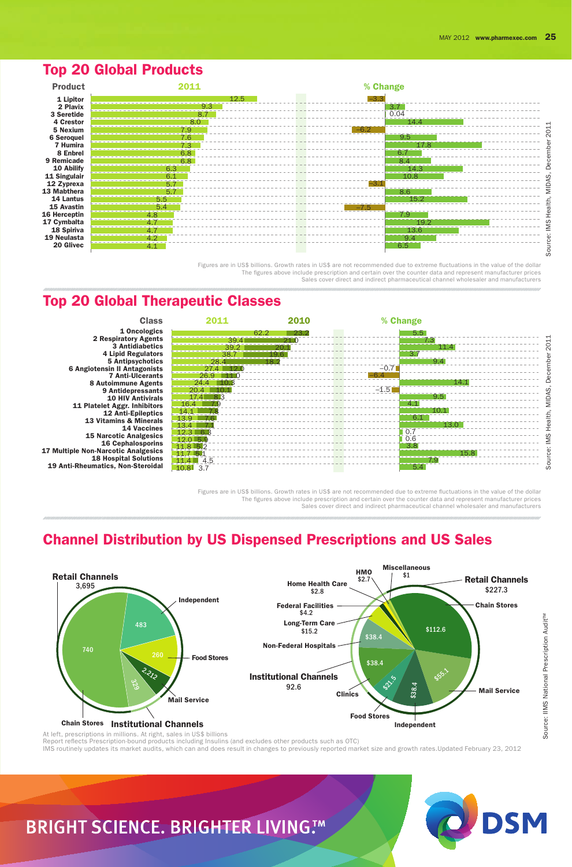#### Top 20 Global Products



Figures are in US\$ billions. Growth rates in US\$ are not recommended due to extreme fluctuations in the value of the dollar<br>The figures above include prescription and certain over the counter data and represent manufacture Sales cover direct and indirect pharmaceutical channel wholesaler and manufacturers

#### Top 20 Global Therapeutic Classes



Figures are in US\$ billions. Growth rates in US\$ are not recommended due to extreme fluctuations in the value of the dollar The figures above include prescription and certain over the counter data and represent manufacturer prices Sales cover direct and indirect pharmaceutical channel wholesaler and manufacturers

#### Channel Distribution by US Dispensed Prescriptions and US Sales



At left, prescriptions in millions. At right, sales in US\$ billions

Report reflects Prescription-bound products including Insulins (and excludes other products such as OTC)<br>IMS routinely updates its market audits, which can and does result in changes to previously reported market size and



## **BRIGHT SCIENCE. BRIGHTER LIVING.TM**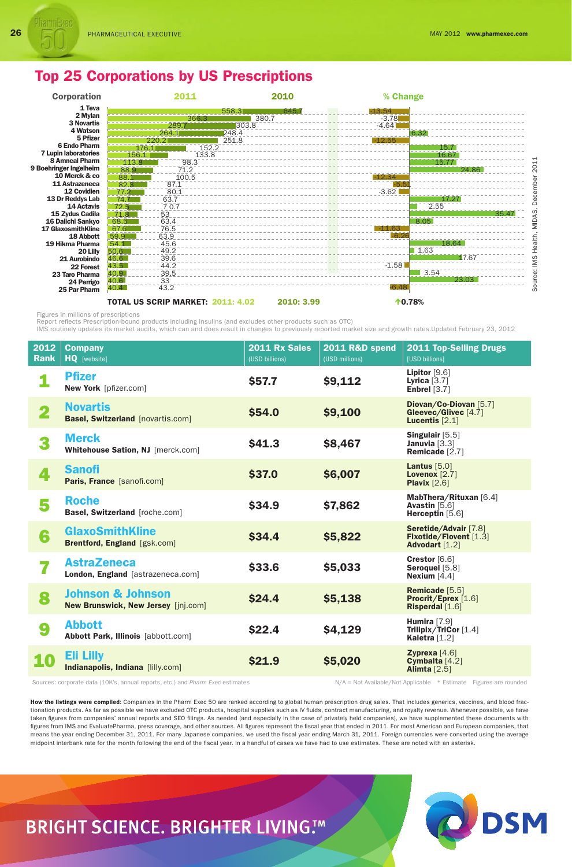#### Top 25 Corporations by US Prescriptions



Figures in millions of prescriptions

Report reflects Prescription-bound products including Insulins (and excludes other products such as OTC) IMS routinely updates its market audits, which can and does result in changes to previously reported market size and growth rates.Updated February 23, 2012

| 2012<br><b>Rank</b> | <b>Company</b><br>HQ [website]                                      | 2011 Rx Sales<br>(USD billions) | <b>2011 R&amp;D spend</b><br>(USD millions) | <b>2011 Top-Selling Drugs</b><br>[USD billions]                    |
|---------------------|---------------------------------------------------------------------|---------------------------------|---------------------------------------------|--------------------------------------------------------------------|
|                     | <b>Pfizer</b><br>New York [pfizer.com]                              | \$57.7                          | \$9,112                                     | Lipitor $[9.6]$<br>Lyrica $[3.7]$<br>Enbrel $[3.7]$                |
|                     | <b>Novartis</b><br>Basel, Switzerland [novartis.com]                | \$54.0                          | \$9,100                                     | Diovan/Co-Diovan [5.7]<br>Gleevec/Glivec [4.7]<br>Lucentis $[2.1]$ |
| 3                   | <b>Merck</b><br>Whitehouse Sation, NJ [merck.com]                   | \$41.3                          | \$8,467                                     | Singulair $[5.5]$<br>Januvia $[3.3]$<br>Remicade [2.7]             |
| 4                   | <b>Sanofi</b><br>Paris, France [sanofi.com]                         | \$37.0                          | \$6,007                                     | <b>Lantus</b> $[5.0]$<br>Lovenox $[2.7]$<br>Plavix $[2.6]$         |
| 5                   | <b>Roche</b><br>Basel, Switzerland [roche.com]                      | \$34.9                          | \$7,862                                     | MabThera/Rituxan [6.4]<br>Avastin [5.6]<br>Herceptin $[5.6]$       |
| 6                   | <b>GlaxoSmithKline</b><br>Brentford, England [gsk.com]              | \$34.4                          | \$5,822                                     | Seretide/Advair [7.8]<br>Fixotide/Flovent [1.3]<br>Advodart [1.2]  |
|                     | <b>AstraZeneca</b><br>London, England [astrazeneca.com]             | \$33.6                          | \$5,033                                     | Crestor [6.6]<br>Seroquel [5.8]<br>Nexium $[4.4]$                  |
| 8                   | <b>Johnson &amp; Johnson</b><br>New Brunswick, New Jersey [jnj.com] | \$24.4                          | \$5,138                                     | Remicade [5.5]<br>Procrit/Eprex [1.6]<br>Risperdal [1.6]           |
| 9                   | <b>Abbott</b><br>Abbott Park, Illinois [abbott.com]                 | \$22.4                          | \$4,129                                     | Humira $[7.9]$<br>Trilipix/TriCor [1.4]<br>Kaletra [1.2]           |
|                     | <b>Eli Lilly</b><br>Indianapolis, Indiana [lilly.com]               | \$21.9                          | \$5,020                                     | Zyprexa $[4.6]$<br>Cymbalta $[4.2]$<br>Alimta $[2.5]$              |

Sources: corporate data (10K's, annual reports, etc.) and *Pharm Exec* estimates N/A = Not Available/Not Applicable \* Estimate Figures are rounded

How the listings were compiled: Companies in the Pharm Exec 50 are ranked according to global human prescription drug sales. That includes generics, vaccines, and blood fractionation products. As far as possible we have excluded OTC products, hospital supplies such as IV fluids, contract manufacturing, and royalty revenue. Whenever possible, we have taken figures from companies' annual reports and SEO filings. As needed (and especially in the case of privately held companies), we have supplemented these documents with figures from IMS and EvaluatePharma, press coverage, and other sources. All figures represent the fiscal year that ended in 2011. For most American and European companies, that means the year ending December 31, 2011. For many Japanese companies, we used the fiscal year ending March 31, 2011. Foreign currencies were converted using the average midpoint interbank rate for the month following the end of the fiscal year. In a handful of cases we have had to use estimates. These are noted with an asterisk.



### **BRIGHT SCIENCE. BRIGHTER LIVING!M**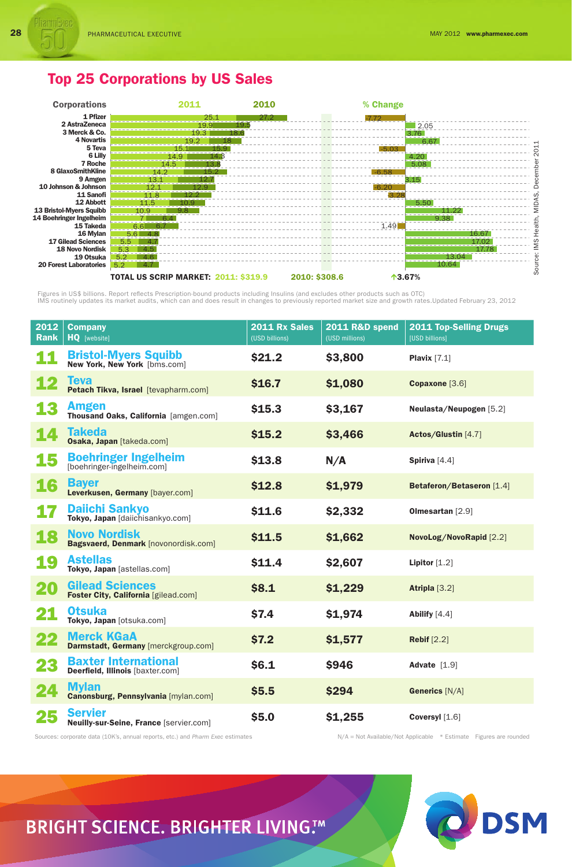#### Top 25 Corporations by US Sales



Figures in US\$ billions. Report reflects Prescription-bound products including Insulins (and excludes other products such as OTC)<br>IMS routinely updates its market audits, which can and does result in changes to previously

| 2012<br><b>Rank</b> | <b>Company</b><br>HQ [website]                                                 | 2011 Rx Sales<br>(USD billions) | <b>2011 R&amp;D spend</b><br>(USD millions) | <b>2011 Top-Selling Drugs</b><br>[USD billions]                   |
|---------------------|--------------------------------------------------------------------------------|---------------------------------|---------------------------------------------|-------------------------------------------------------------------|
|                     | <b>Bristol-Myers Squibb</b><br>New York, New York [bms.com]                    | \$21.2                          | \$3,800                                     | Plavix $[7.1]$                                                    |
|                     | <b>Teva</b><br>Petach Tikva, Israel [tevapharm.com]                            | \$16.7                          | \$1,080                                     | Copaxone [3.6]                                                    |
| 13                  | <b>Amgen</b><br>Thousand Oaks, California [amgen.com]                          | \$15.3                          | \$3,167                                     | Neulasta/Neupogen [5.2]                                           |
|                     | <b>Takeda</b><br>Osaka, Japan [takeda.com]                                     | \$15.2                          | \$3,466                                     | Actos/Glustin [4.7]                                               |
| 15                  | <b>Boehringer Ingelheim</b><br>[boehringer-ingelheim.com]                      | \$13.8                          | N/A                                         | Spiriva [4.4]                                                     |
| 16                  | <b>Bayer</b><br>Leverkusen, Germany [bayer.com]                                | \$12.8                          | \$1,979                                     | Betaferon/Betaseron [1.4]                                         |
| 17                  | <b>Daiichi Sankyo</b><br>Tokyo, Japan [daiichisankyo.com]                      | \$11.6                          | \$2,332                                     | Olmesartan [2.9]                                                  |
|                     | <b>Novo Nordisk</b><br>Bagsvaerd, Denmark [novonordisk.com]                    | \$11.5                          | \$1,662                                     | NovoLog/NovoRapid [2.2]                                           |
| 19                  | <b>Astellas</b><br>Tokyo, Japan [astellas.com]                                 | \$11.4                          | \$2,607                                     | Lipitor $[1.2]$                                                   |
| 20                  | <b>Gilead Sciences</b><br>Foster City, California [gilead.com]                 | \$8.1                           | \$1,229                                     | Atripla [3.2]                                                     |
| 21                  | <b>Otsuka</b><br>Tokyo, Japan [otsuka.com]                                     | \$7.4                           | \$1,974                                     | Abilify $[4.4]$                                                   |
| 22                  | <b>Merck KGaA</b><br>Darmstadt, Germany [merckgroup.com]                       | \$7.2                           | \$1,577                                     | Rebif $[2.2]$                                                     |
| 23                  | <b>Baxter International</b><br>Deerfield, Illinois [baxter.com]                | \$6.1                           | \$946                                       | Advate $[1.9]$                                                    |
| 24                  | <b>Mylan</b><br>Canonsburg, Pennsylvania [mylan.com]                           | \$5.5                           | \$294                                       | <b>Generics [N/A]</b>                                             |
| 25                  | <b>Servier</b><br>Neuilly-sur-Seine, France [servier.com]                      | \$5.0                           | \$1,255                                     | Coversyl [1.6]                                                    |
|                     | Sources: corporate data (10K's, annual reports, etc.) and Pharm Exec estimates |                                 |                                             | N/A = Not Available/Not Applicable * Estimate Figures are rounded |

DSM

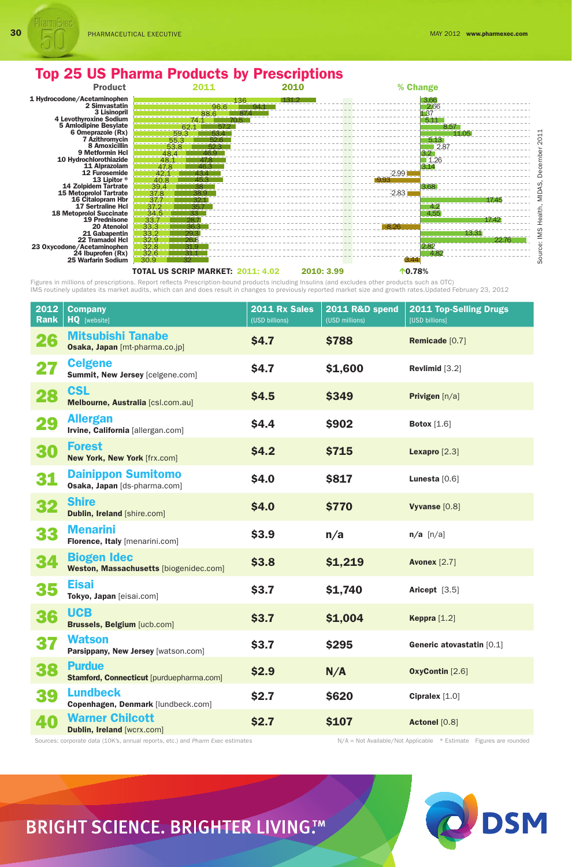## Top 25 US Pharma Products by Prescriptions<br>2010 2011



Figures in millions of prescriptions. Report reflects Prescription-bound products including Insulins (and excludes other products such as OTC)<br>IMS routinely updates its market audits, which can and does result in changes t

| 2012<br><b>Rank</b> | <b>Company</b><br>HQ [website]                                                 | <b>2011 Rx Sales</b><br>(USD billions) | <b>2011 R&amp;D spend</b><br>(USD millions) | 2011 Top-Selling Drugs<br>[USD billions]                          |
|---------------------|--------------------------------------------------------------------------------|----------------------------------------|---------------------------------------------|-------------------------------------------------------------------|
| 26                  | <b>Mitsubishi Tanabe</b><br>Osaka, Japan [mt-pharma.co.jp]                     | \$4.7                                  | \$788                                       | Remicade [0.7]                                                    |
| 27                  | <b>Celgene</b><br>Summit, New Jersey [celgene.com]                             | \$4.7                                  | \$1,600                                     | Revlimid [3.2]                                                    |
| 28                  | <b>CSL</b><br>Melbourne, Australia [csl.com.au]                                | \$4.5                                  | \$349                                       | Privigen [n/a]                                                    |
| 29                  | <b>Allergan</b><br>Irvine, California [allergan.com]                           | \$4.4                                  | \$902                                       | <b>Botox</b> $[1.6]$                                              |
| 30                  | <b>Forest</b><br>New York, New York [frx.com]                                  | \$4.2                                  | \$715                                       | Lexapro $[2.3]$                                                   |
| 31                  | <b>Dainippon Sumitomo</b><br>Osaka, Japan [ds-pharma.com]                      | \$4.0                                  | <b>\$817</b>                                | Lunesta $[0.6]$                                                   |
| 32                  | <b>Shire</b><br>Dublin, Ireland [shire.com]                                    | \$4.0                                  | \$770                                       | Vyvanse $[0.8]$                                                   |
| 33                  | <b>Menarini</b><br>Florence, Italy [menarini.com]                              | \$3.9                                  | n/a                                         | $n/a$ [n/a]                                                       |
| 34                  | <b>Biogen Idec</b><br>Weston, Massachusetts [biogenidec.com]                   | \$3.8                                  | \$1,219                                     | <b>Avonex</b> [2.7]                                               |
| 35                  | <b>Eisai</b><br>Tokyo, Japan [eisai.com]                                       | \$3.7                                  | \$1,740                                     | Aricept $[3.5]$                                                   |
|                     | <b>UCB</b><br>Brussels, Belgium [ucb.com]                                      | \$3.7                                  | \$1,004                                     | Keppra $[1.2]$                                                    |
| 37                  | <b>Watson</b><br>Parsippany, New Jersey [watson.com]                           | \$3.7                                  | \$295                                       | Generic atovastatin [0.1]                                         |
| 38                  | <b>Purdue</b><br>Stamford, Connecticut [purduepharma.com]                      | \$2.9                                  | N/A                                         | OxyContin [2.6]                                                   |
| 39                  | <b>Lundbeck</b><br>Copenhagen, Denmark [lundbeck.com]                          | \$2.7                                  | \$620                                       | Cipralex $[1.0]$                                                  |
| 40                  | <b>Warner Chilcott</b><br>Dublin, Ireland [wcrx.com]                           | \$2.7                                  | \$107                                       | Actonel [0.8]                                                     |
|                     | Sources: corporate data (10K's, annual reports, etc.) and Pharm Exec estimates |                                        |                                             | N/A = Not Available/Not Applicable * Estimate Figures are rounded |

**SM** 

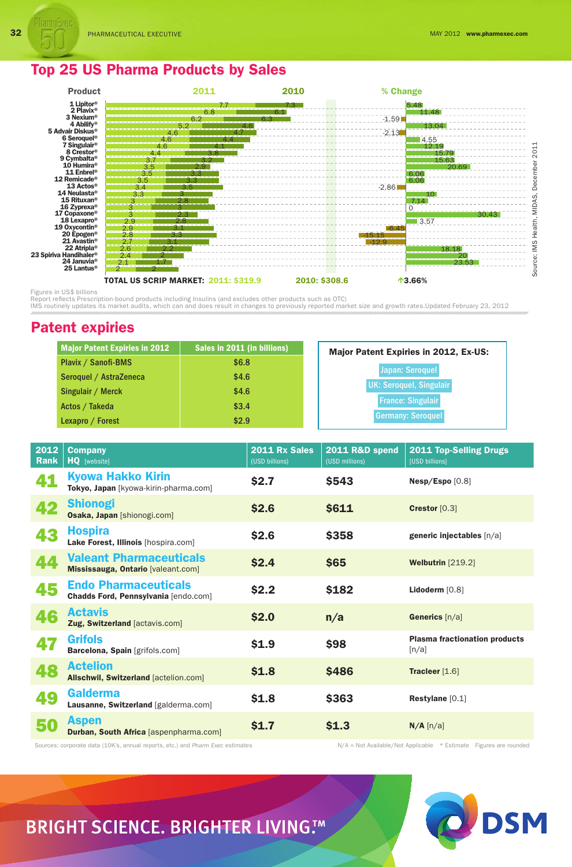#### Top 25 US Pharma Products by Sales



Figures in US\$ billions

Report reflects Prescription-bound products including Insulins (and excludes other products such as OTC)<br>IMS routinely updates its market audits, which can and does result in changes to previously reported market size and

#### Patent expiries

| <b>Major Patent Expiries in 2012</b> | Sales in 2011 (in billions) | Major Patent Expiries in 2012, Ex-US: |
|--------------------------------------|-----------------------------|---------------------------------------|
| <b>Plavix / Sanofi-BMS</b>           | \$6.8                       |                                       |
| Seroquel / AstraZeneca               | \$4.6                       | Japan: Seroquel                       |
| Singulair / Merck                    | \$4.6                       | UK: Seroquel, Singulair               |
| Actos / Takeda                       | \$3.4                       | <b>France: Singulair</b>              |
| Lexapro / Forest                     | \$2.9                       | <b>Germany: Seroquel</b>              |

| 2012<br><b>Rank</b> | <b>Company</b><br><b>HQ</b> [website]                                | <b>2011 Rx Sales</b><br>(USD billions) | <b>2011 R&amp;D spend</b><br>(USD millions) | <b>2011 Top-Selling Drugs</b><br>[USD billions] |
|---------------------|----------------------------------------------------------------------|----------------------------------------|---------------------------------------------|-------------------------------------------------|
|                     | <b>Kyowa Hakko Kirin</b><br>Tokyo, Japan [kyowa-kirin-pharma.com]    | \$2.7                                  | \$543                                       | Nesp/Espo [0.8]                                 |
| 42                  | <b>Shionogi</b><br>Osaka, Japan [shionogi.com]                       | \$2.6                                  | \$611                                       | <b>Crestor</b> $[0.3]$                          |
| 43                  | <b>Hospira</b><br>Lake Forest, Illinois [hospira.com]                | \$2.6                                  | \$358                                       | generic injectables [n/a]                       |
| 44                  | <b>Valeant Pharmaceuticals</b><br>Mississauga, Ontario [valeant.com] | \$2.4                                  | \$65                                        | Welbutrin [219.2]                               |
| 45                  | <b>Endo Pharmaceuticals</b><br>Chadds Ford, Pennsylvania [endo.com]  | \$2.2                                  | \$182                                       | Lidoderm $[0.8]$                                |
| 46                  | <b>Actavis</b><br>Zug, Switzerland [actavis.com]                     | \$2.0                                  | n/a                                         | Generics [n/a]                                  |
| 47                  | <b>Grifols</b><br>Barcelona, Spain [grifols.com]                     | \$1.9                                  | \$98                                        | <b>Plasma fractionation products</b><br>[n/a]   |
| 48                  | <b>Actelion</b><br>Allschwil, Switzerland [actelion.com]             | \$1.8                                  | \$486                                       | Tracleer [1.6]                                  |
| 49                  | <b>Galderma</b><br>Lausanne, Switzerland [galderma.com]              | \$1.8                                  | \$363                                       | Restylane [0.1]                                 |
| $\Xi$ 0             | <b>Aspen</b><br>Durban, South Africa [aspenpharma.com]               | \$1.7                                  | \$1.3                                       | $N/A$ [n/a]                                     |

Sources: corporate data (10K's, annual reports, etc.) and *Pharm Exec* estimates N/A = Not Available/Not Applicable \* Estimate Figures are rounded

DSM